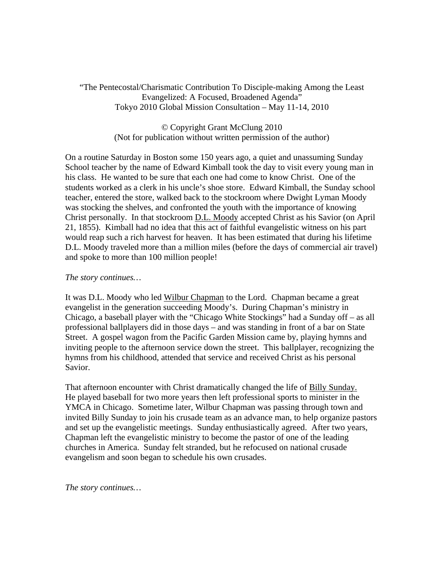"The Pentecostal/Charismatic Contribution To Disciple-making Among the Least Evangelized: A Focused, Broadened Agenda" Tokyo 2010 Global Mission Consultation – May 11-14, 2010

> © Copyright Grant McClung 2010 (Not for publication without written permission of the author)

On a routine Saturday in Boston some 150 years ago, a quiet and unassuming Sunday School teacher by the name of Edward Kimball took the day to visit every young man in his class. He wanted to be sure that each one had come to know Christ. One of the students worked as a clerk in his uncle's shoe store. Edward Kimball, the Sunday school teacher, entered the store, walked back to the stockroom where Dwight Lyman Moody was stocking the shelves, and confronted the youth with the importance of knowing Christ personally. In that stockroom D.L. Moody accepted Christ as his Savior (on April 21, 1855). Kimball had no idea that this act of faithful evangelistic witness on his part would reap such a rich harvest for heaven. It has been estimated that during his lifetime D.L. Moody traveled more than a million miles (before the days of commercial air travel) and spoke to more than 100 million people!

## *The story continues…*

It was D.L. Moody who led Wilbur Chapman to the Lord. Chapman became a great evangelist in the generation succeeding Moody's. During Chapman's ministry in Chicago, a baseball player with the "Chicago White Stockings" had a Sunday off – as all professional ballplayers did in those days – and was standing in front of a bar on State Street. A gospel wagon from the Pacific Garden Mission came by, playing hymns and inviting people to the afternoon service down the street. This ballplayer, recognizing the hymns from his childhood, attended that service and received Christ as his personal Savior.

That afternoon encounter with Christ dramatically changed the life of Billy Sunday. He played baseball for two more years then left professional sports to minister in the YMCA in Chicago. Sometime later, Wilbur Chapman was passing through town and invited Billy Sunday to join his crusade team as an advance man, to help organize pastors and set up the evangelistic meetings. Sunday enthusiastically agreed. After two years, Chapman left the evangelistic ministry to become the pastor of one of the leading churches in America. Sunday felt stranded, but he refocused on national crusade evangelism and soon began to schedule his own crusades.

*The story continues…*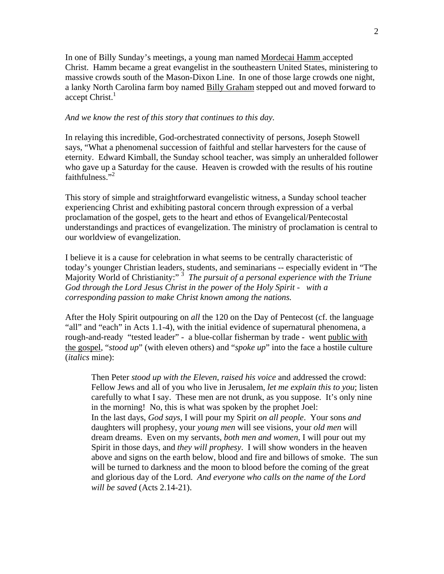In one of Billy Sunday's meetings, a young man named Mordecai Hamm accepted Christ. Hamm became a great evangelist in the southeastern United States, ministering to massive crowds south of the Mason-Dixon Line. In one of those large crowds one night, a lanky North Carolina farm boy named **Billy Graham** stepped out and moved forward to accept  $Christ.$ <sup>1</sup>

## *And we know the rest of this story that continues to this day.*

In relaying this incredible, God-orchestrated connectivity of persons, Joseph Stowell says, "What a phenomenal succession of faithful and stellar harvesters for the cause of eternity. Edward Kimball, the Sunday school teacher, was simply an unheralded follower who gave up a Saturday for the cause. Heaven is crowded with the results of his routine faithfulness."<sup>2</sup>

This story of simple and straightforward evangelistic witness, a Sunday school teacher experiencing Christ and exhibiting pastoral concern through expression of a verbal proclamation of the gospel, gets to the heart and ethos of Evangelical/Pentecostal understandings and practices of evangelization. The ministry of proclamation is central to our worldview of evangelization.

I believe it is a cause for celebration in what seems to be centrally characteristic of today's younger Christian leaders, students, and seminarians -- especially evident in "The Majority World of Christianity:"<sup>3</sup> The pursuit of a personal experience with the Triune *God through the Lord Jesus Christ in the power of the Holy Spirit - with a corresponding passion to make Christ known among the nations.* 

After the Holy Spirit outpouring on *all* the 120 on the Day of Pentecost (cf. the language "all" and "each" in Acts 1.1-4), with the initial evidence of supernatural phenomena, a rough-and-ready "tested leader" - a blue-collar fisherman by trade - went public with the gospel, "*stood up*" (with eleven others) and "*spoke up*" into the face a hostile culture (*italics* mine):

Then Peter *stood up with the Eleven*, *raised his voice* and addressed the crowd: Fellow Jews and all of you who live in Jerusalem, *let me explain this to you*; listen carefully to what I say. These men are not drunk, as you suppose. It's only nine in the morning! No, this is what was spoken by the prophet Joel: In the last days, *God says*, I will pour my Spirit *on all people*. Your sons *and* daughters will prophesy, your *young men* will see visions, your *old men* will dream dreams. Even on my servants, *both men and women*, I will pour out my Spirit in those days, and *they will prophesy*. I will show wonders in the heaven above and signs on the earth below, blood and fire and billows of smoke. The sun will be turned to darkness and the moon to blood before the coming of the great and glorious day of the Lord. *And everyone who calls on the name of the Lord will be saved* (Acts 2.14-21).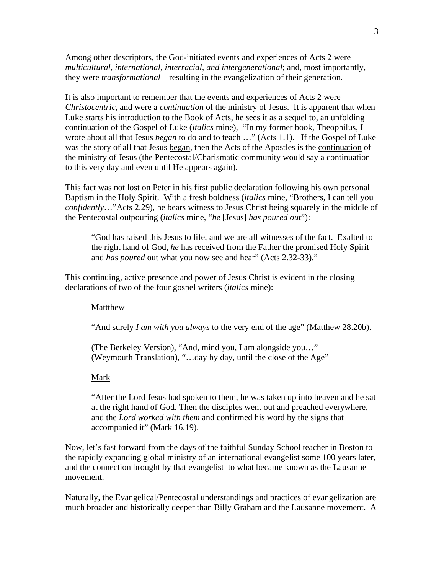Among other descriptors, the God-initiated events and experiences of Acts 2 were *multicultural, international, interracial, and intergenerational*; and, most importantly, they were *transformational* – resulting in the evangelization of their generation.

It is also important to remember that the events and experiences of Acts 2 were *Christocentric*, and were a *continuation* of the ministry of Jesus. It is apparent that when Luke starts his introduction to the Book of Acts, he sees it as a sequel to, an unfolding continuation of the Gospel of Luke (*italics* mine), "In my former book, Theophilus, I wrote about all that Jesus *began* to do and to teach …" (Acts 1.1). If the Gospel of Luke was the story of all that Jesus began, then the Acts of the Apostles is the continuation of the ministry of Jesus (the Pentecostal/Charismatic community would say a continuation to this very day and even until He appears again).

This fact was not lost on Peter in his first public declaration following his own personal Baptism in the Holy Spirit. With a fresh boldness (*italics* mine, "Brothers, I can tell you *confidently*…"Acts 2.29), he bears witness to Jesus Christ being squarely in the middle of the Pentecostal outpouring (*italics* mine, "*he* [Jesus] *has poured out*"):

"God has raised this Jesus to life, and we are all witnesses of the fact. Exalted to the right hand of God, *he* has received from the Father the promised Holy Spirit and *has poured* out what you now see and hear" (Acts 2.32-33)."

This continuing, active presence and power of Jesus Christ is evident in the closing declarations of two of the four gospel writers (*italics* mine):

### Mattthew

"And surely *I am with you always* to the very end of the age" (Matthew 28.20b).

 (The Berkeley Version), "And, mind you, I am alongside you…" (Weymouth Translation), "…day by day, until the close of the Age"

#### Mark

"After the Lord Jesus had spoken to them, he was taken up into heaven and he sat at the right hand of God. Then the disciples went out and preached everywhere, and the *Lord worked with them* and confirmed his word by the signs that accompanied it" (Mark 16.19).

Now, let's fast forward from the days of the faithful Sunday School teacher in Boston to the rapidly expanding global ministry of an international evangelist some 100 years later, and the connection brought by that evangelist to what became known as the Lausanne movement.

Naturally, the Evangelical/Pentecostal understandings and practices of evangelization are much broader and historically deeper than Billy Graham and the Lausanne movement. A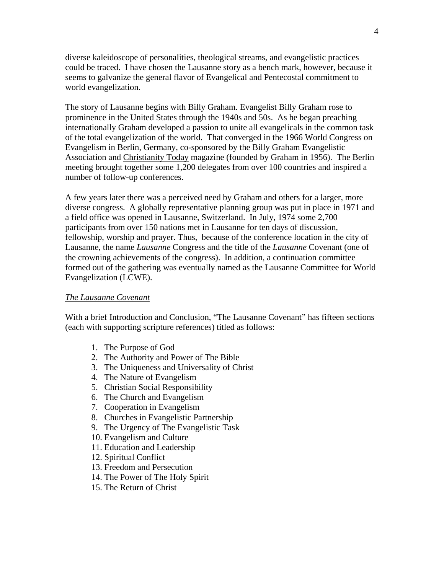diverse kaleidoscope of personalities, theological streams, and evangelistic practices could be traced. I have chosen the Lausanne story as a bench mark, however, because it seems to galvanize the general flavor of Evangelical and Pentecostal commitment to world evangelization.

The story of Lausanne begins with Billy Graham. Evangelist Billy Graham rose to prominence in the United States through the 1940s and 50s. As he began preaching internationally Graham developed a passion to unite all evangelicals in the common task of the total evangelization of the world. That converged in the 1966 World Congress on Evangelism in Berlin, Germany, co-sponsored by the Billy Graham Evangelistic Association and Christianity Today magazine (founded by Graham in 1956). The Berlin meeting brought together some 1,200 delegates from over 100 countries and inspired a number of follow-up conferences.

A few years later there was a perceived need by Graham and others for a larger, more diverse congress. A globally representative planning group was put in place in 1971 and a field office was opened in Lausanne, Switzerland. In July, 1974 some 2,700 participants from over 150 nations met in Lausanne for ten days of discussion, fellowship, worship and prayer. Thus, because of the conference location in the city of Lausanne, the name *Lausanne* Congress and the title of the *Lausanne* Covenant (one of the crowning achievements of the congress). In addition, a continuation committee formed out of the gathering was eventually named as the Lausanne Committee for World Evangelization (LCWE).

### *The Lausanne Covenant*

With a brief Introduction and Conclusion, "The Lausanne Covenant" has fifteen sections (each with supporting scripture references) titled as follows:

- 1. The Purpose of God
- 2. The Authority and Power of The Bible
- 3. The Uniqueness and Universality of Christ
- 4. The Nature of Evangelism
- 5. Christian Social Responsibility
- 6. The Church and Evangelism
- 7. Cooperation in Evangelism
- 8. Churches in Evangelistic Partnership
- 9. The Urgency of The Evangelistic Task
- 10. Evangelism and Culture
- 11. Education and Leadership
- 12. Spiritual Conflict
- 13. Freedom and Persecution
- 14. The Power of The Holy Spirit
- 15. The Return of Christ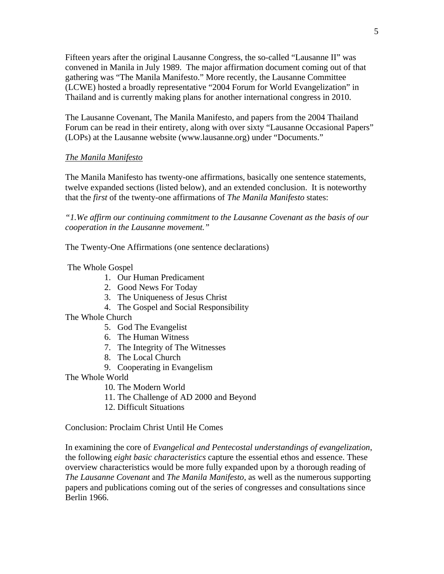Fifteen years after the original Lausanne Congress, the so-called "Lausanne II" was convened in Manila in July 1989. The major affirmation document coming out of that gathering was "The Manila Manifesto." More recently, the Lausanne Committee (LCWE) hosted a broadly representative "2004 Forum for World Evangelization" in Thailand and is currently making plans for another international congress in 2010.

The Lausanne Covenant, The Manila Manifesto, and papers from the 2004 Thailand Forum can be read in their entirety, along with over sixty "Lausanne Occasional Papers" (LOPs) at the Lausanne website (www.lausanne.org) under "Documents."

# *The Manila Manifesto*

The Manila Manifesto has twenty-one affirmations, basically one sentence statements, twelve expanded sections (listed below), and an extended conclusion. It is noteworthy that the *first* of the twenty-one affirmations of *The Manila Manifesto* states:

*"1.We affirm our continuing commitment to the Lausanne Covenant as the basis of our cooperation in the Lausanne movement."* 

The Twenty-One Affirmations (one sentence declarations)

The Whole Gospel

- 1. Our Human Predicament
- 2. Good News For Today
- 3. The Uniqueness of Jesus Christ
- 4. The Gospel and Social Responsibility
- The Whole Church
	- 5. God The Evangelist
	- 6. The Human Witness
	- 7. The Integrity of The Witnesses
	- 8. The Local Church
	- 9. Cooperating in Evangelism
- The Whole World
	- 10. The Modern World
	- 11. The Challenge of AD 2000 and Beyond
	- 12. Difficult Situations

Conclusion: Proclaim Christ Until He Comes

In examining the core of *Evangelical and Pentecostal understandings of evangelization*, the following *eight basic characteristics* capture the essential ethos and essence. These overview characteristics would be more fully expanded upon by a thorough reading of *The Lausanne Covenant* and *The Manila Manifesto*, as well as the numerous supporting papers and publications coming out of the series of congresses and consultations since Berlin 1966.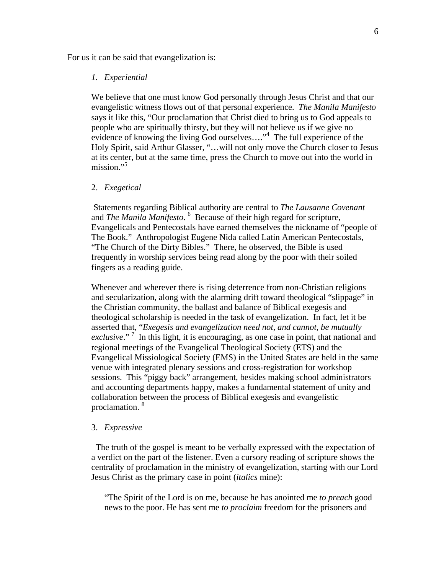For us it can be said that evangelization is:

### *1. Experiential*

We believe that one must know God personally through Jesus Christ and that our evangelistic witness flows out of that personal experience. *The Manila Manifesto* says it like this, "Our proclamation that Christ died to bring us to God appeals to people who are spiritually thirsty, but they will not believe us if we give no evidence of knowing the living God ourselves...."<sup>4</sup> The full experience of the Holy Spirit, said Arthur Glasser, "…will not only move the Church closer to Jesus at its center, but at the same time, press the Church to move out into the world in mission."<sup>5</sup>

### 2. *Exegetical*

Statements regarding Biblical authority are central to *The Lausanne Covenant* and *The Manila Manifesto*. <sup>6</sup> Because of their high regard for scripture, Evangelicals and Pentecostals have earned themselves the nickname of "people of The Book." Anthropologist Eugene Nida called Latin American Pentecostals, "The Church of the Dirty Bibles." There, he observed, the Bible is used frequently in worship services being read along by the poor with their soiled fingers as a reading guide.

Whenever and wherever there is rising deterrence from non-Christian religions and secularization, along with the alarming drift toward theological "slippage" in the Christian community, the ballast and balance of Biblical exegesis and theological scholarship is needed in the task of evangelization. In fact, let it be asserted that, "*Exegesis and evangelization need not, and cannot, be mutually* exclusive."<sup>7</sup> In this light, it is encouraging, as one case in point, that national and regional meetings of the Evangelical Theological Society (ETS) and the Evangelical Missiological Society (EMS) in the United States are held in the same venue with integrated plenary sessions and cross-registration for workshop sessions. This "piggy back" arrangement, besides making school administrators and accounting departments happy, makes a fundamental statement of unity and collaboration between the process of Biblical exegesis and evangelistic proclamation. 8

### 3. *Expressive*

The truth of the gospel is meant to be verbally expressed with the expectation of a verdict on the part of the listener. Even a cursory reading of scripture shows the centrality of proclamation in the ministry of evangelization, starting with our Lord Jesus Christ as the primary case in point (*italics* mine):

"The Spirit of the Lord is on me, because he has anointed me *to preach* good news to the poor. He has sent me *to proclaim* freedom for the prisoners and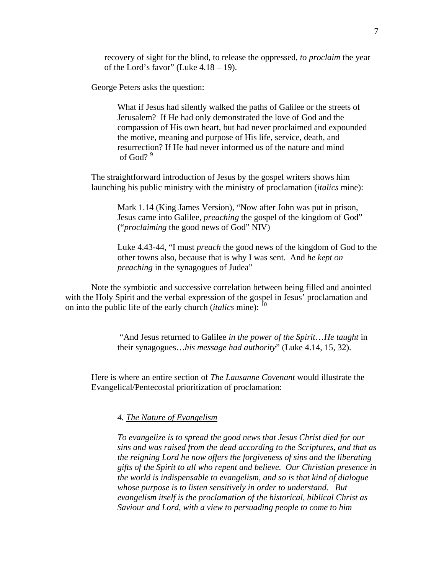recovery of sight for the blind, to release the oppressed, *to proclaim* the year of the Lord's favor" (Luke  $4.18 - 19$ ).

George Peters asks the question:

What if Jesus had silently walked the paths of Galilee or the streets of Jerusalem? If He had only demonstrated the love of God and the compassion of His own heart, but had never proclaimed and expounded the motive, meaning and purpose of His life, service, death, and resurrection? If He had never informed us of the nature and mind of God?<sup>9</sup>

The straightforward introduction of Jesus by the gospel writers shows him launching his public ministry with the ministry of proclamation (*italics* mine):

Mark 1.14 (King James Version), "Now after John was put in prison, Jesus came into Galilee, *preaching* the gospel of the kingdom of God" ("*proclaiming* the good news of God" NIV)

Luke 4.43-44, "I must *preach* the good news of the kingdom of God to the other towns also, because that is why I was sent. And *he kept on preaching* in the synagogues of Judea"

Note the symbiotic and successive correlation between being filled and anointed with the Holy Spirit and the verbal expression of the gospel in Jesus' proclamation and on into the public life of the early church (*italics* mine): <sup>10</sup>

> "And Jesus returned to Galilee *in the power of the Spirit*…*He taught* in their synagogues…*his message had authority*" (Luke 4.14, 15, 32).

Here is where an entire section of *The Lausanne Covenant* would illustrate the Evangelical/Pentecostal prioritization of proclamation:

*4. The Nature of Evangelism*

*To evangelize is to spread the good news that Jesus Christ died for our sins and was raised from the dead according to the Scriptures, and that as the reigning Lord he now offers the forgiveness of sins and the liberating gifts of the Spirit to all who repent and believe. Our Christian presence in the world is indispensable to evangelism, and so is that kind of dialogue whose purpose is to listen sensitively in order to understand. But evangelism itself is the proclamation of the historical, biblical Christ as Saviour and Lord, with a view to persuading people to come to him*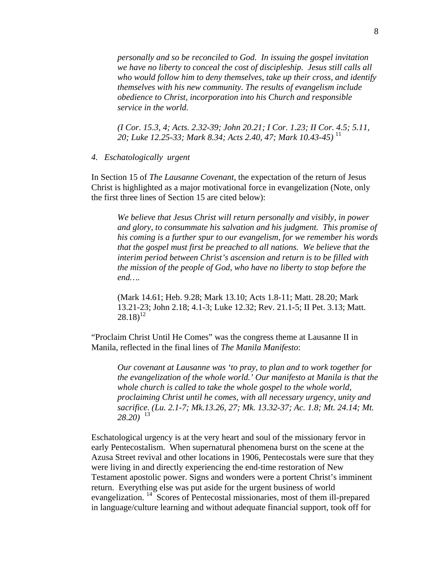*personally and so be reconciled to God. In issuing the gospel invitation we have no liberty to conceal the cost of discipleship. Jesus still calls all who would follow him to deny themselves, take up their cross, and identify themselves with his new community. The results of evangelism include obedience to Christ, incorporation into his Church and responsible service in the world.* 

*(I Cor. 15.3, 4; Acts. 2.32-39; John 20.21; I Cor. 1.23; II Cor. 4.5; 5.11, 20; Luke 12.25-33; Mark 8.34; Acts 2.40, 47; Mark 10.43-45)* <sup>11</sup>

*4. Eschatologically urgent* 

In Section 15 of *The Lausanne Covenant*, the expectation of the return of Jesus Christ is highlighted as a major motivational force in evangelization (Note, only the first three lines of Section 15 are cited below):

*We believe that Jesus Christ will return personally and visibly, in power and glory, to consummate his salvation and his judgment. This promise of his coming is a further spur to our evangelism, for we remember his words that the gospel must first be preached to all nations. We believe that the interim period between Christ's ascension and return is to be filled with the mission of the people of God, who have no liberty to stop before the end….* 

(Mark 14.61; Heb. 9.28; Mark 13.10; Acts 1.8-11; Matt. 28.20; Mark 13.21-23; John 2.18; 4.1-3; Luke 12.32; Rev. 21.1-5; II Pet. 3.13; Matt.  $(28.18)^{12}$ 

"Proclaim Christ Until He Comes" was the congress theme at Lausanne II in Manila, reflected in the final lines of *The Manila Manifesto*:

*Our covenant at Lausanne was 'to pray, to plan and to work together for the evangelization of the whole world.' Our manifesto at Manila is that the whole church is called to take the whole gospel to the whole world, proclaiming Christ until he comes, with all necessary urgency, unity and sacrifice. (Lu. 2.1-7; Mk.13.26, 27; Mk. 13.32-37; Ac. 1.8; Mt. 24.14; Mt.*  $28.20$ <sup>13</sup>

Eschatological urgency is at the very heart and soul of the missionary fervor in early Pentecostalism. When supernatural phenomena burst on the scene at the Azusa Street revival and other locations in 1906, Pentecostals were sure that they were living in and directly experiencing the end-time restoration of New Testament apostolic power. Signs and wonders were a portent Christ's imminent return. Everything else was put aside for the urgent business of world evangelization.<sup>14</sup> Scores of Pentecostal missionaries, most of them ill-prepared in language/culture learning and without adequate financial support, took off for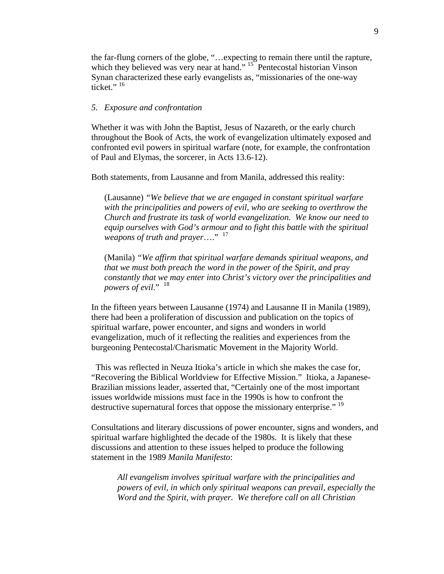the far-flung corners of the globe, "…expecting to remain there until the rapture, which they believed was very near at hand."<sup>15</sup> Pentecostal historian Vinson Synan characterized these early evangelists as, "missionaries of the one-way ticket." $16$ 

### *5. Exposure and confrontation*

Whether it was with John the Baptist, Jesus of Nazareth, or the early church throughout the Book of Acts, the work of evangelization ultimately exposed and confronted evil powers in spiritual warfare (note, for example, the confrontation of Paul and Elymas, the sorcerer, in Acts 13.6-12).

Both statements, from Lausanne and from Manila, addressed this reality:

(Lausanne) *"We believe that we are engaged in constant spiritual warfare with the principalities and powers of evil, who are seeking to overthrow the Church and frustrate its task of world evangelization. We know our need to equip ourselves with God's armour and to fight this battle with the spiritual weapons of truth and prayer*…." <sup>17</sup>

(Manila) *"We affirm that spiritual warfare demands spiritual weapons, and that we must both preach the word in the power of the Spirit, and pray constantly that we may enter into Christ's victory over the principalities and powers of evil.*" <sup>18</sup>

In the fifteen years between Lausanne (1974) and Lausanne II in Manila (1989), there had been a proliferation of discussion and publication on the topics of spiritual warfare, power encounter, and signs and wonders in world evangelization, much of it reflecting the realities and experiences from the burgeoning Pentecostal/Charismatic Movement in the Majority World.

 This was reflected in Neuza Itioka's article in which she makes the case for, "Recovering the Biblical Worldview for Effective Mission." Itioka, a Japanese-Brazilian missions leader, asserted that, "Certainly one of the most important issues worldwide missions must face in the 1990s is how to confront the destructive supernatural forces that oppose the missionary enterprise." <sup>19</sup>

Consultations and literary discussions of power encounter, signs and wonders, and spiritual warfare highlighted the decade of the 1980s. It is likely that these discussions and attention to these issues helped to produce the following statement in the 1989 *Manila Manifesto*:

*All evangelism involves spiritual warfare with the principalities and powers of evil, in which only spiritual weapons can prevail, especially the Word and the Spirit, with prayer. We therefore call on all Christian*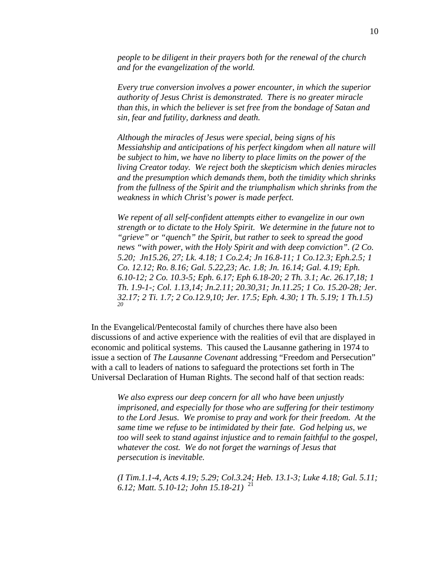*people to be diligent in their prayers both for the renewal of the church and for the evangelization of the world.* 

*Every true conversion involves a power encounter, in which the superior authority of Jesus Christ is demonstrated. There is no greater miracle than this, in which the believer is set free from the bondage of Satan and sin, fear and futility, darkness and death.* 

*Although the miracles of Jesus were special, being signs of his Messiahship and anticipations of his perfect kingdom when all nature will be subject to him, we have no liberty to place limits on the power of the living Creator today. We reject both the skepticism which denies miracles and the presumption which demands them, both the timidity which shrinks from the fullness of the Spirit and the triumphalism which shrinks from the weakness in which Christ's power is made perfect.* 

*We repent of all self-confident attempts either to evangelize in our own strength or to dictate to the Holy Spirit. We determine in the future not to "grieve" or "quench" the Spirit, but rather to seek to spread the good news "with power, with the Holy Spirit and with deep conviction". (2 Co. 5.20; Jn15.26, 27; Lk. 4.18; 1 Co.2.4; Jn 16.8-11; 1 Co.12.3; Eph.2.5; 1 Co. 12.12; Ro. 8.16; Gal. 5.22,23; Ac. 1.8; Jn. 16.14; Gal. 4.19; Eph. 6.10-12; 2 Co. 10.3-5; Eph. 6.17; Eph 6.18-20; 2 Th. 3.1; Ac. 26.17,18; 1 Th. 1.9-1-; Col. 1.13,14; Jn.2.11; 20.30,31; Jn.11.25; 1 Co. 15.20-28; Jer. 32.17; 2 Ti. 1.7; 2 Co.12.9,10; Jer. 17.5; Eph. 4.30; 1 Th. 5.19; 1 Th.1.5) 20*

In the Evangelical/Pentecostal family of churches there have also been discussions of and active experience with the realities of evil that are displayed in economic and political systems. This caused the Lausanne gathering in 1974 to issue a section of *The Lausanne Covenant* addressing "Freedom and Persecution" with a call to leaders of nations to safeguard the protections set forth in The Universal Declaration of Human Rights. The second half of that section reads:

*We also express our deep concern for all who have been unjustly imprisoned, and especially for those who are suffering for their testimony to the Lord Jesus. We promise to pray and work for their freedom. At the same time we refuse to be intimidated by their fate. God helping us, we too will seek to stand against injustice and to remain faithful to the gospel, whatever the cost. We do not forget the warnings of Jesus that persecution is inevitable.* 

*(I Tim.1.1-4, Acts 4.19; 5.29; Col.3.24; Heb. 13.1-3; Luke 4.18; Gal. 5.11; 6.12; Matt. 5.10-12; John 15.18-21)* <sup>21</sup>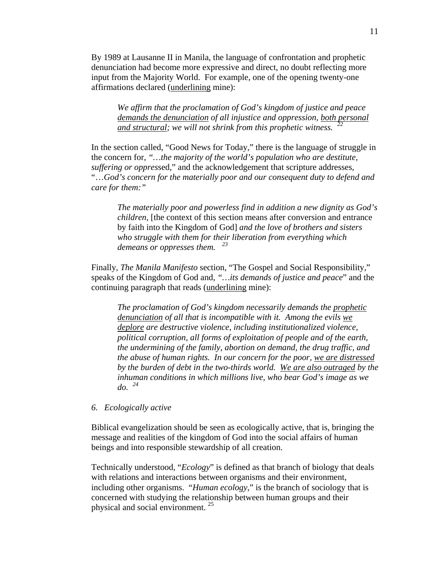By 1989 at Lausanne II in Manila, the language of confrontation and prophetic denunciation had become more expressive and direct, no doubt reflecting more input from the Majority World. For example, one of the opening twenty-one affirmations declared (underlining mine):

*We affirm that the proclamation of God's kingdom of justice and peace demands the denunciation of all injustice and oppression, both personal and structural; we will not shrink from this prophetic witness. <sup>22</sup>*

In the section called, "Good News for Today," there is the language of struggle in the concern for, *"…the majority of the world's population who are destitute, suffering or oppres*sed," and the acknowledgement that scripture addresses, "…*God's concern for the materially poor and our consequent duty to defend and care for them:"* 

*The materially poor and powerless find in addition a new dignity as God's children*, [the context of this section means after conversion and entrance by faith into the Kingdom of God] *and the love of brothers and sisters who struggle with them for their liberation from everything which demeans or oppresses them. <sup>23</sup>*

Finally, *The Manila Manifesto* section, "The Gospel and Social Responsibility," speaks of the Kingdom of God and, *"…its demands of justice and peace*" and the continuing paragraph that reads (underlining mine):

*The proclamation of God's kingdom necessarily demands the prophetic denunciation of all that is incompatible with it. Among the evils we deplore are destructive violence, including institutionalized violence, political corruption, all forms of exploitation of people and of the earth, the undermining of the family, abortion on demand, the drug traffic, and the abuse of human rights. In our concern for the poor, we are distressed by the burden of debt in the two-thirds world. We are also outraged by the inhuman conditions in which millions live, who bear God's image as we do. <sup>24</sup>*

#### *6. Ecologically active*

Biblical evangelization should be seen as ecologically active, that is, bringing the message and realities of the kingdom of God into the social affairs of human beings and into responsible stewardship of all creation.

Technically understood, "*Ecology*" is defined as that branch of biology that deals with relations and interactions between organisms and their environment, including other organisms. "*Human ecology*," is the branch of sociology that is concerned with studying the relationship between human groups and their physical and social environment.<sup>25</sup>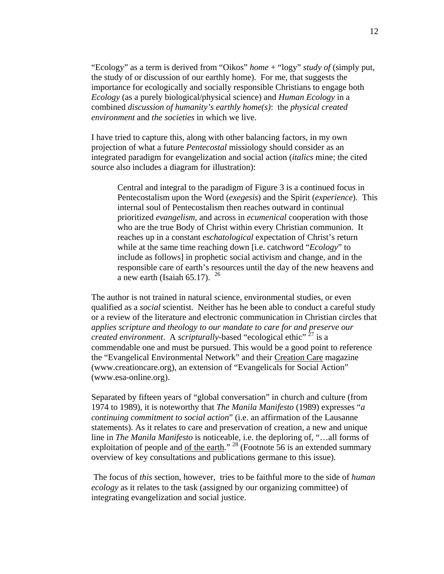"Ecology" as a term is derived from "Oikos" *home* + "logy" *study of* (simply put, the study of or discussion of our earthly home). For me, that suggests the importance for ecologically and socially responsible Christians to engage both *Ecology* (as a purely biological/physical science) and *Human Ecology* in a combined *discussion of humanity's earthly home(s)*: the *physical created environment* and *the societies* in which we live.

I have tried to capture this, along with other balancing factors, in my own projection of what a future *Pentecostal* missiology should consider as an integrated paradigm for evangelization and social action (*italics* mine; the cited source also includes a diagram for illustration):

Central and integral to the paradigm of Figure 3 is a continued focus in Pentecostalism upon the Word (*exegesis*) and the Spirit (*experience*). This internal soul of Pentecostalism then reaches outward in continual prioritized *evangelism*, and across in *ecumenical* cooperation with those who are the true Body of Christ within every Christian communion. It reaches up in a constant *eschatological* expectation of Christ's return while at the same time reaching down [i.e. catchword "*Ecology*" to include as follows] in prophetic social activism and change, and in the responsible care of earth's resources until the day of the new heavens and a new earth (Isaiah 65.17).  $26$ 

The author is not trained in natural science, environmental studies, or even qualified as a *social* scientist. Neither has he been able to conduct a careful study or a review of the literature and electronic communication in Christian circles that *applies scripture and theology to our mandate to care for and preserve our created environment*. A *scripturally*-based "ecological ethic" 27 is a commendable one and must be pursued. This would be a good point to reference the "Evangelical Environmental Network" and their Creation Care magazine (www.creationcare.org), an extension of "Evangelicals for Social Action" (www.esa-online.org).

Separated by fifteen years of "global conversation" in church and culture (from 1974 to 1989), it is noteworthy that *The Manila Manifesto* (1989) expresses "*a continuing commitment to social action*" (i.e. an affirmation of the Lausanne statements). As it relates to care and preservation of creation, a new and unique line in *The Manila Manifesto* is noticeable, i.e. the deploring of, "…all forms of exploitation of people and of the earth."  $^{28}$  (Footnote 56 is an extended summary overview of key consultations and publications germane to this issue).

The focus of *this* section, however, tries to be faithful more to the side of *human ecology* as it relates to the task (assigned by our organizing committee) of integrating evangelization and social justice.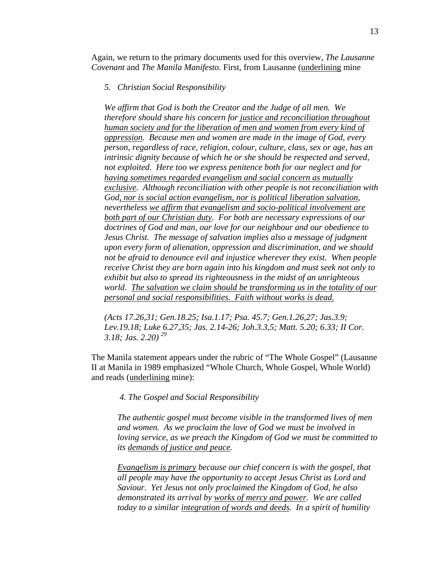Again, we return to the primary documents used for this overview, *The Lausanne Covenant* and *The Manila Manifesto*. First, from Lausanne (underlining mine

#### *5. Christian Social Responsibility*

*We affirm that God is both the Creator and the Judge of all men. We therefore should share his concern for justice and reconciliation throughout human society and for the liberation of men and women from every kind of oppression. Because men and women are made in the image of God, every person, regardless of race, religion, colour, culture, class, sex or age, has an intrinsic dignity because of which he or she should be respected and served, not exploited. Here too we express penitence both for our neglect and for having sometimes regarded evangelism and social concern as mutually exclusive. Although reconciliation with other people is not reconciliation with God, nor is social action evangelism, nor is political liberation salvation, nevertheless we affirm that evangelism and socio-political involvement are both part of our Christian duty. For both are necessary expressions of our doctrines of God and man, our love for our neighbour and our obedience to Jesus Christ. The message of salvation implies also a message of judgment upon every form of alienation, oppression and discrimination, and we should not be afraid to denounce evil and injustice wherever they exist. When people receive Christ they are born again into his kingdom and must seek not only to exhibit but also to spread its righteousness in the midst of an unrighteous world. The salvation we claim should be transforming us in the totality of our personal and social responsibilities. Faith without works is dead.*

*(Acts 17.26,31; Gen.18.25; Isa.1.17; Psa. 45.7; Gen.1.26,27; Jas.3.9; Lev.19.18; Luke 6.27,35; Jas. 2.14-26; Joh.3.3,5; Matt. 5.20; 6.33; II Cor. 3.18; Jas. 2.20) <sup>29</sup>*

The Manila statement appears under the rubric of "The Whole Gospel" (Lausanne II at Manila in 1989 emphasized "Whole Church, Whole Gospel, Whole World) and reads (underlining mine):

*4. The Gospel and Social Responsibility* 

*The authentic gospel must become visible in the transformed lives of men and women. As we proclaim the love of God we must be involved in loving service, as we preach the Kingdom of God we must be committed to its demands of justice and peace.* 

*Evangelism is primary because our chief concern is with the gospel, that all people may have the opportunity to accept Jesus Christ as Lord and Saviour. Yet Jesus not only proclaimed the Kingdom of God, he also demonstrated its arrival by works of mercy and power. We are called today to a similar integration of words and deeds. In a spirit of humility*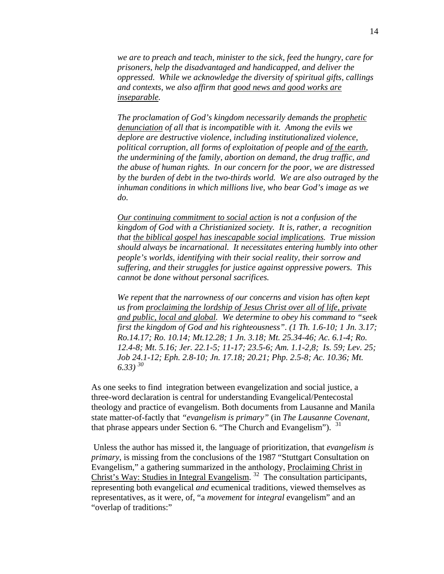*we are to preach and teach, minister to the sick, feed the hungry, care for prisoners, help the disadvantaged and handicapped, and deliver the oppressed. While we acknowledge the diversity of spiritual gifts, callings and contexts, we also affirm that good news and good works are inseparable.* 

*The proclamation of God's kingdom necessarily demands the prophetic denunciation of all that is incompatible with it. Among the evils we deplore are destructive violence, including institutionalized violence, political corruption, all forms of exploitation of people and of the earth, the undermining of the family, abortion on demand, the drug traffic, and the abuse of human rights. In our concern for the poor, we are distressed by the burden of debt in the two-thirds world. We are also outraged by the inhuman conditions in which millions live, who bear God's image as we do.* 

*Our continuing commitment to social action is not a confusion of the kingdom of God with a Christianized society. It is, rather, a recognition that the biblical gospel has inescapable social implications. True mission should always be incarnational. It necessitates entering humbly into other people's worlds, identifying with their social reality, their sorrow and suffering, and their struggles for justice against oppressive powers. This cannot be done without personal sacrifices.* 

*We repent that the narrowness of our concerns and vision has often kept us from proclaiming the lordship of Jesus Christ over all of life, private and public, local and global. We determine to obey his command to "seek first the kingdom of God and his righteousness". (1 Th. 1.6-10; 1 Jn. 3.17; Ro.14.17; Ro. 10.14; Mt.12.28; 1 Jn. 3.18; Mt. 25.34-46; Ac. 6.1-4; Ro. 12.4-8; Mt. 5.16; Jer. 22.1-5; 11-17; 23.5-6; Am. 1.1-2,8; Is. 59; Lev. 25; Job 24.1-12; Eph. 2.8-10; Jn. 17.18; 20.21; Php. 2.5-8; Ac. 10.36; Mt. 6.33) <sup>30</sup>*

As one seeks to find integration between evangelization and social justice, a three-word declaration is central for understanding Evangelical/Pentecostal theology and practice of evangelism. Both documents from Lausanne and Manila state matter-of-factly that *"evangelism is primary"* (in *The Lausanne Covenant,*  that phrase appears under Section 6. "The Church and Evangelism").  $31$ 

Unless the author has missed it, the language of prioritization, that *evangelism is primary*, is missing from the conclusions of the 1987 "Stuttgart Consultation on Evangelism," a gathering summarized in the anthology, Proclaiming Christ in Christ's Way: Studies in Integral Evangelism. 32 The consultation participants, representing both evangelical *and* ecumenical traditions, viewed themselves as representatives, as it were, of, "a *movement* for *integral* evangelism" and an "overlap of traditions:"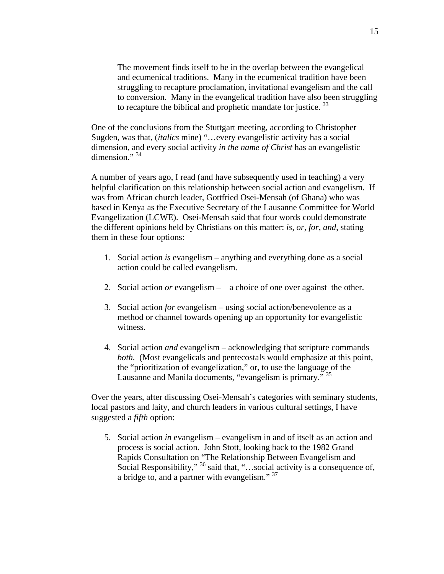The movement finds itself to be in the overlap between the evangelical and ecumenical traditions. Many in the ecumenical tradition have been struggling to recapture proclamation, invitational evangelism and the call to conversion. Many in the evangelical tradition have also been struggling to recapture the biblical and prophetic mandate for justice.<sup>33</sup>

One of the conclusions from the Stuttgart meeting, according to Christopher Sugden, was that, (*italics* mine) "…every evangelistic activity has a social dimension, and every social activity *in the name of Christ* has an evangelistic  $dimension.^{34}$ 

A number of years ago, I read (and have subsequently used in teaching) a very helpful clarification on this relationship between social action and evangelism. If was from African church leader, Gottfried Osei-Mensah (of Ghana) who was based in Kenya as the Executive Secretary of the Lausanne Committee for World Evangelization (LCWE). Osei-Mensah said that four words could demonstrate the different opinions held by Christians on this matter: *is, or, for*, *and*, stating them in these four options:

- 1. Social action *is* evangelism anything and everything done as a social action could be called evangelism.
- 2. Social action *or* evangelism a choice of one over against the other.
- 3. Social action *for* evangelism using social action/benevolence as a method or channel towards opening up an opportunity for evangelistic witness.
- 4. Social action *and* evangelism acknowledging that scripture commands *both.* (Most evangelicals and pentecostals would emphasize at this point, the "prioritization of evangelization," or, to use the language of the Lausanne and Manila documents, "evangelism is primary." <sup>35</sup>

Over the years, after discussing Osei-Mensah's categories with seminary students, local pastors and laity, and church leaders in various cultural settings, I have suggested a *fifth* option:

5. Social action *in* evangelism – evangelism in and of itself as an action and process is social action. John Stott, looking back to the 1982 Grand Rapids Consultation on "The Relationship Between Evangelism and Social Responsibility," <sup>36</sup> said that, "...social activity is a consequence of, a bridge to, and a partner with evangelism."<sup>37</sup>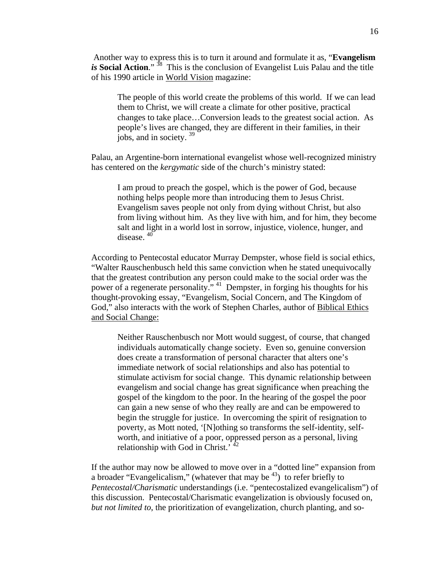Another way to express this is to turn it around and formulate it as, "**Evangelism**  *is* **Social Action**." <sup>38</sup> This is the conclusion of Evangelist Luis Palau and the title of his 1990 article in World Vision magazine:

The people of this world create the problems of this world. If we can lead them to Christ, we will create a climate for other positive, practical changes to take place…Conversion leads to the greatest social action. As people's lives are changed, they are different in their families, in their jobs, and in society.<sup>39</sup>

Palau, an Argentine-born international evangelist whose well-recognized ministry has centered on the *kergymatic* side of the church's ministry stated:

I am proud to preach the gospel, which is the power of God, because nothing helps people more than introducing them to Jesus Christ. Evangelism saves people not only from dying without Christ, but also from living without him. As they live with him, and for him, they become salt and light in a world lost in sorrow, injustice, violence, hunger, and disease.<sup>40</sup>

According to Pentecostal educator Murray Dempster, whose field is social ethics, "Walter Rauschenbusch held this same conviction when he stated unequivocally that the greatest contribution any person could make to the social order was the power of a regenerate personality." 41 Dempster, in forging his thoughts for his thought-provoking essay, "Evangelism, Social Concern, and The Kingdom of God," also interacts with the work of Stephen Charles, author of Biblical Ethics and Social Change:

Neither Rauschenbusch nor Mott would suggest, of course, that changed individuals automatically change society. Even so, genuine conversion does create a transformation of personal character that alters one's immediate network of social relationships and also has potential to stimulate activism for social change. This dynamic relationship between evangelism and social change has great significance when preaching the gospel of the kingdom to the poor. In the hearing of the gospel the poor can gain a new sense of who they really are and can be empowered to begin the struggle for justice. In overcoming the spirit of resignation to poverty, as Mott noted, '[N]othing so transforms the self-identity, selfworth, and initiative of a poor, oppressed person as a personal, living relationship with God in Christ.<sup>'42</sup>

If the author may now be allowed to move over in a "dotted line" expansion from a broader "Evangelicalism," (whatever that may be  $43$ ) to refer briefly to *Pentecostal/Charismatic* understandings (i.e. "pentecostalized evangelicalism") of this discussion. Pentecostal/Charismatic evangelization is obviously focused on, *but not limited to*, the prioritization of evangelization, church planting, and so-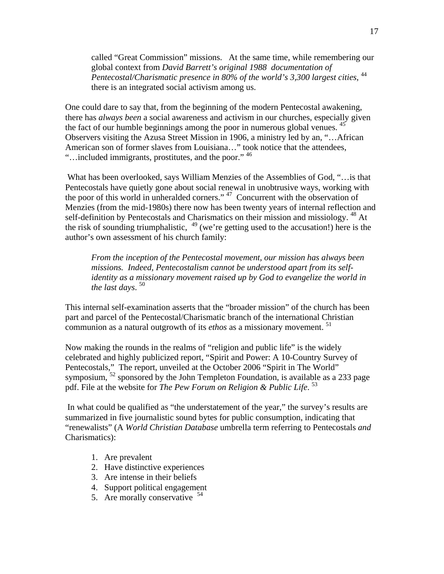called "Great Commission" missions. At the same time, while remembering our global context from *David Barrett's original 1988 documentation of Pentecostal/Charismatic presence in 80% of the world's 3,300 largest cities*, 44 there is an integrated social activism among us.

One could dare to say that, from the beginning of the modern Pentecostal awakening, there has *always been* a social awareness and activism in our churches, especially given the fact of our humble beginnings among the poor in numerous global venues. <sup>45</sup> Observers visiting the Azusa Street Mission in 1906, a ministry led by an, "…African American son of former slaves from Louisiana…" took notice that the attendees, "...included immigrants, prostitutes, and the poor." <sup>46</sup>

 What has been overlooked, says William Menzies of the Assemblies of God, "…is that Pentecostals have quietly gone about social renewal in unobtrusive ways, working with the poor of this world in unheralded corners." 47 Concurrent with the observation of Menzies (from the mid-1980s) there now has been twenty years of internal reflection and self-definition by Pentecostals and Charismatics on their mission and missiology.  $^{48}$  At the risk of sounding triumphalistic,  $49$  (we're getting used to the accusation!) here is the author's own assessment of his church family:

*From the inception of the Pentecostal movement, our mission has always been missions. Indeed, Pentecostalism cannot be understood apart from its selfidentity as a missionary movement raised up by God to evangelize the world in the last days*. 50

This internal self-examination asserts that the "broader mission" of the church has been part and parcel of the Pentecostal/Charismatic branch of the international Christian communion as a natural outgrowth of its *ethos* as a missionary movement.<sup>51</sup>

Now making the rounds in the realms of "religion and public life" is the widely celebrated and highly publicized report, "Spirit and Power: A 10-Country Survey of Pentecostals," The report, unveiled at the October 2006 "Spirit in The World" symposium, <sup>52</sup> sponsored by the John Templeton Foundation, is available as a 233 page pdf. File at the website for *The Pew Forum on Religion & Public Life*. 53

 In what could be qualified as "the understatement of the year," the survey's results are summarized in five journalistic sound bytes for public consumption, indicating that "renewalists" (A *World Christian Database* umbrella term referring to Pentecostals *and*  Charismatics):

- 1. Are prevalent
- 2. Have distinctive experiences
- 3. Are intense in their beliefs
- 4. Support political engagement
- 5. Are morally conservative  $54$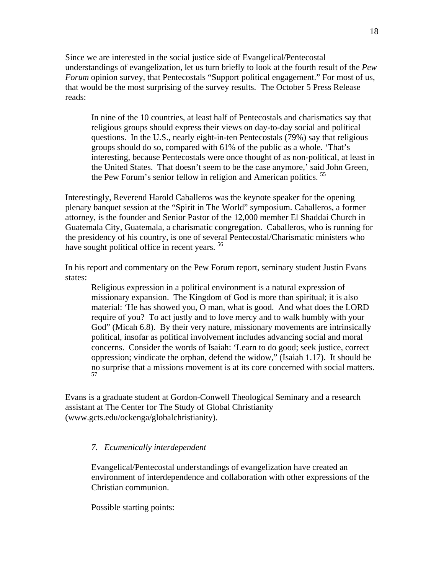Since we are interested in the social justice side of Evangelical/Pentecostal understandings of evangelization, let us turn briefly to look at the fourth result of the *Pew Forum* opinion survey, that Pentecostals "Support political engagement." For most of us, that would be the most surprising of the survey results. The October 5 Press Release reads:

In nine of the 10 countries, at least half of Pentecostals and charismatics say that religious groups should express their views on day-to-day social and political questions. In the U.S., nearly eight-in-ten Pentecostals (79%) say that religious groups should do so, compared with 61% of the public as a whole. 'That's interesting, because Pentecostals were once thought of as non-political, at least in the United States. That doesn't seem to be the case anymore,' said John Green, the Pew Forum's senior fellow in religion and American politics.<sup>55</sup>

Interestingly, Reverend Harold Caballeros was the keynote speaker for the opening plenary banquet session at the "Spirit in The World" symposium. Caballeros, a former attorney, is the founder and Senior Pastor of the 12,000 member El Shaddai Church in Guatemala City, Guatemala, a charismatic congregation. Caballeros, who is running for the presidency of his country, is one of several Pentecostal/Charismatic ministers who have sought political office in recent years.<sup>56</sup>

In his report and commentary on the Pew Forum report, seminary student Justin Evans states:

Religious expression in a political environment is a natural expression of missionary expansion. The Kingdom of God is more than spiritual; it is also material: 'He has showed you, O man, what is good. And what does the LORD require of you? To act justly and to love mercy and to walk humbly with your God" (Micah 6.8). By their very nature, missionary movements are intrinsically political, insofar as political involvement includes advancing social and moral concerns. Consider the words of Isaiah: 'Learn to do good; seek justice, correct oppression; vindicate the orphan, defend the widow," (Isaiah 1.17). It should be no surprise that a missions movement is at its core concerned with social matters. 57

Evans is a graduate student at Gordon-Conwell Theological Seminary and a research assistant at The Center for The Study of Global Christianity (www.gcts.edu/ockenga/globalchristianity).

## *7. Ecumenically interdependent*

Evangelical/Pentecostal understandings of evangelization have created an environment of interdependence and collaboration with other expressions of the Christian communion.

Possible starting points: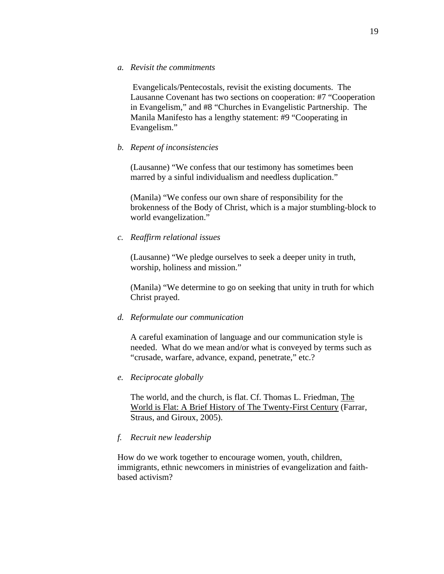Evangelicals/Pentecostals, revisit the existing documents. The Lausanne Covenant has two sections on cooperation: #7 "Cooperation in Evangelism," and #8 "Churches in Evangelistic Partnership. The Manila Manifesto has a lengthy statement: #9 "Cooperating in Evangelism."

## *b. Repent of inconsistencies*

(Lausanne) "We confess that our testimony has sometimes been marred by a sinful individualism and needless duplication."

(Manila) "We confess our own share of responsibility for the brokenness of the Body of Christ, which is a major stumbling-block to world evangelization."

## *c. Reaffirm relational issues*

(Lausanne) "We pledge ourselves to seek a deeper unity in truth, worship, holiness and mission."

(Manila) "We determine to go on seeking that unity in truth for which Christ prayed.

#### *d. Reformulate our communication*

A careful examination of language and our communication style is needed. What do we mean and/or what is conveyed by terms such as "crusade, warfare, advance, expand, penetrate," etc.?

## *e. Reciprocate globally*

The world, and the church, is flat. Cf. Thomas L. Friedman, The World is Flat: A Brief History of The Twenty-First Century (Farrar, Straus, and Giroux, 2005).

## *f. Recruit new leadership*

How do we work together to encourage women, youth, children, immigrants, ethnic newcomers in ministries of evangelization and faithbased activism?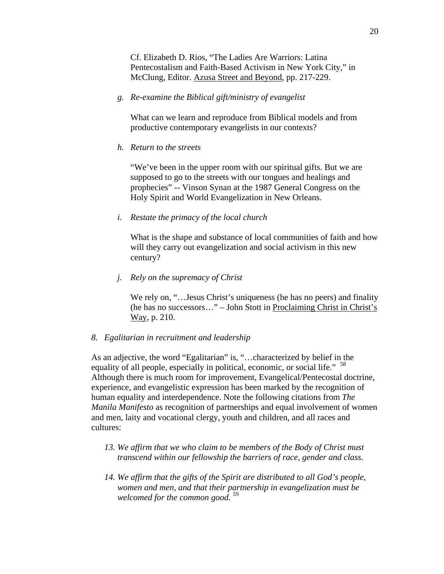Cf. Elizabeth D. Rios, "The Ladies Are Warriors: Latina Pentecostalism and Faith-Based Activism in New York City," in McClung, Editor. Azusa Street and Beyond, pp. 217-229.

*g. Re-examine the Biblical gift/ministry of evangelist* 

What can we learn and reproduce from Biblical models and from productive contemporary evangelists in our contexts?

*h. Return to the streets* 

"We've been in the upper room with our spiritual gifts. But we are supposed to go to the streets with our tongues and healings and prophecies" -- Vinson Synan at the 1987 General Congress on the Holy Spirit and World Evangelization in New Orleans.

*i. Restate the primacy of the local church* 

What is the shape and substance of local communities of faith and how will they carry out evangelization and social activism in this new century?

*j. Rely on the supremacy of Christ* 

We rely on, "... Jesus Christ's uniqueness (he has no peers) and finality (he has no successors…" – John Stott in Proclaiming Christ in Christ's Way, p. 210.

### *8. Egalitarian in recruitment and leadership*

As an adjective, the word "Egalitarian" is, "…characterized by belief in the equality of all people, especially in political, economic, or social life." <sup>58</sup> Although there is much room for improvement, Evangelical/Pentecostal doctrine, experience, and evangelistic expression has been marked by the recognition of human equality and interdependence. Note the following citations from *The Manila Manifesto* as recognition of partnerships and equal involvement of women and men, laity and vocational clergy, youth and children, and all races and cultures:

- *13. We affirm that we who claim to be members of the Body of Christ must transcend within our fellowship the barriers of race, gender and class.*
- *14. We affirm that the gifts of the Spirit are distributed to all God's people, women and men, and that their partnership in evangelization must be welcomed for the common good. 59*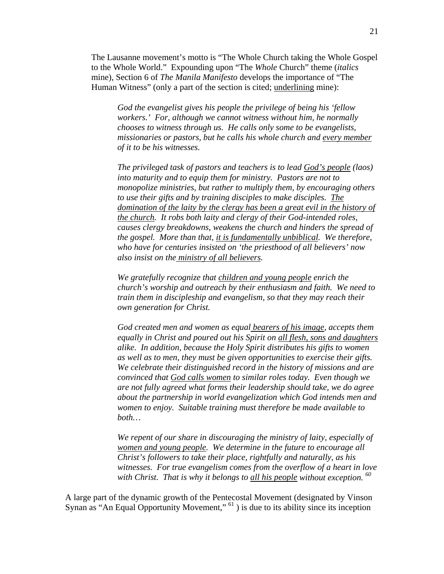The Lausanne movement's motto is "The Whole Church taking the Whole Gospel to the Whole World." Expounding upon "The *Whole* Church" theme (*italics*  mine), Section 6 of *The Manila Manifesto* develops the importance of "The Human Witness" (only a part of the section is cited; underlining mine):

*God the evangelist gives his people the privilege of being his 'fellow workers.' For, although we cannot witness without him, he normally chooses to witness through us. He calls only some to be evangelists, missionaries or pastors, but he calls his whole church and every member of it to be his witnesses.* 

*The privileged task of pastors and teachers is to lead God's people (laos) into maturity and to equip them for ministry. Pastors are not to monopolize ministries, but rather to multiply them, by encouraging others to use their gifts and by training disciples to make disciples. The domination of the laity by the clergy has been a great evil in the history of the church. It robs both laity and clergy of their God-intended roles, causes clergy breakdowns, weakens the church and hinders the spread of the gospel. More than that, it is fundamentally unbiblical. We therefore, who have for centuries insisted on 'the priesthood of all believers' now also insist on the ministry of all believers.* 

*We gratefully recognize that children and young people enrich the church's worship and outreach by their enthusiasm and faith. We need to train them in discipleship and evangelism, so that they may reach their own generation for Christ.* 

*God created men and women as equal bearers of his image, accepts them equally in Christ and poured out his Spirit on all flesh, sons and daughters alike. In addition, because the Holy Spirit distributes his gifts to women as well as to men, they must be given opportunities to exercise their gifts. We celebrate their distinguished record in the history of missions and are convinced that God calls women to similar roles today. Even though we are not fully agreed what forms their leadership should take, we do agree about the partnership in world evangelization which God intends men and women to enjoy. Suitable training must therefore be made available to both…* 

*We repent of our share in discouraging the ministry of laity, especially of women and young people. We determine in the future to encourage all Christ's followers to take their place, rightfully and naturally, as his witnesses. For true evangelism comes from the overflow of a heart in love*  with Christ. That is why it belongs to <u>all his people</u> without exception.<sup>80</sup>

A large part of the dynamic growth of the Pentecostal Movement (designated by Vinson Synan as "An Equal Opportunity Movement," <sup>61</sup>) is due to its ability since its inception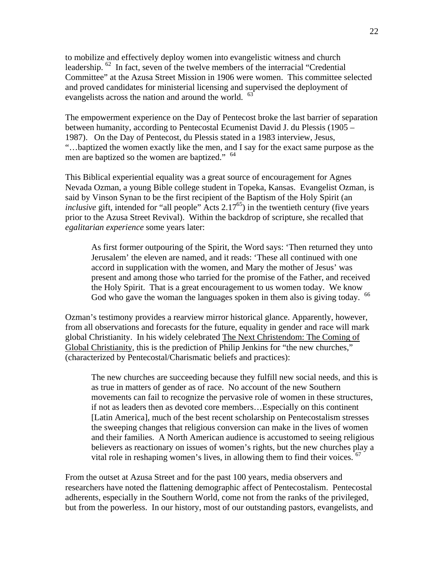to mobilize and effectively deploy women into evangelistic witness and church leadership. 62 In fact, seven of the twelve members of the interracial "Credential Committee" at the Azusa Street Mission in 1906 were women. This committee selected and proved candidates for ministerial licensing and supervised the deployment of evangelists across the nation and around the world. <sup>63</sup>

The empowerment experience on the Day of Pentecost broke the last barrier of separation between humanity, according to Pentecostal Ecumenist David J. du Plessis (1905 – 1987). On the Day of Pentecost, du Plessis stated in a 1983 interview, Jesus, "…baptized the women exactly like the men, and I say for the exact same purpose as the men are baptized so the women are baptized." <sup>64</sup>

This Biblical experiential equality was a great source of encouragement for Agnes Nevada Ozman, a young Bible college student in Topeka, Kansas. Evangelist Ozman, is said by Vinson Synan to be the first recipient of the Baptism of the Holy Spirit (an *inclusive* gift, intended for "all people" Acts 2.17<sup>65</sup>) in the twentieth century (five years prior to the Azusa Street Revival). Within the backdrop of scripture, she recalled that *egalitarian experience* some years later:

As first former outpouring of the Spirit, the Word says: 'Then returned they unto Jerusalem' the eleven are named, and it reads: 'These all continued with one accord in supplication with the women, and Mary the mother of Jesus' was present and among those who tarried for the promise of the Father, and received the Holy Spirit. That is a great encouragement to us women today. We know God who gave the woman the languages spoken in them also is giving today. <sup>66</sup>

Ozman's testimony provides a rearview mirror historical glance. Apparently, however, from all observations and forecasts for the future, equality in gender and race will mark global Christianity. In his widely celebrated The Next Christendom: The Coming of Global Christianity, this is the prediction of Philip Jenkins for "the new churches," (characterized by Pentecostal/Charismatic beliefs and practices):

The new churches are succeeding because they fulfill new social needs, and this is as true in matters of gender as of race. No account of the new Southern movements can fail to recognize the pervasive role of women in these structures, if not as leaders then as devoted core members…Especially on this continent [Latin America], much of the best recent scholarship on Pentecostalism stresses the sweeping changes that religious conversion can make in the lives of women and their families. A North American audience is accustomed to seeing religious believers as reactionary on issues of women's rights, but the new churches play a vital role in reshaping women's lives, in allowing them to find their voices. <sup>67</sup>

From the outset at Azusa Street and for the past 100 years, media observers and researchers have noted the flattening demographic affect of Pentecostalism. Pentecostal adherents, especially in the Southern World, come not from the ranks of the privileged, but from the powerless. In our history, most of our outstanding pastors, evangelists, and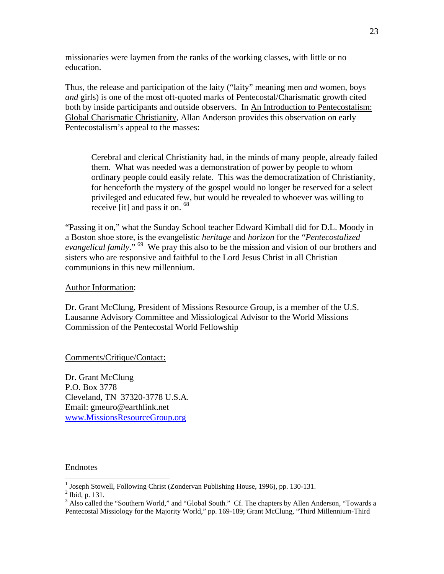missionaries were laymen from the ranks of the working classes, with little or no education.

Thus, the release and participation of the laity ("laity" meaning men *and* women, boys *and* girls) is one of the most oft-quoted marks of Pentecostal/Charismatic growth cited both by inside participants and outside observers. In An Introduction to Pentecostalism: Global Charismatic Christianity, Allan Anderson provides this observation on early Pentecostalism's appeal to the masses:

Cerebral and clerical Christianity had, in the minds of many people, already failed them. What was needed was a demonstration of power by people to whom ordinary people could easily relate. This was the democratization of Christianity, for henceforth the mystery of the gospel would no longer be reserved for a select privileged and educated few, but would be revealed to whoever was willing to receive [it] and pass it on. 68

"Passing it on," what the Sunday School teacher Edward Kimball did for D.L. Moody in a Boston shoe store, is the evangelistic *heritage* and *horizon* for the "*Pentecostalized evangelical family*." 69 We pray this also to be the mission and vision of our brothers and sisters who are responsive and faithful to the Lord Jesus Christ in all Christian communions in this new millennium.

### Author Information:

Dr. Grant McClung, President of Missions Resource Group, is a member of the U.S. Lausanne Advisory Committee and Missiological Advisor to the World Missions Commission of the Pentecostal World Fellowship

Comments/Critique/Contact:

Dr. Grant McClung P.O. Box 3778 Cleveland, TN 37320-3778 U.S.A. Email: gmeuro@earthlink.net www.MissionsResourceGroup.org

### Endnotes

<u>.</u>

<sup>&</sup>lt;sup>1</sup> Joseph Stowell, Following Christ (Zondervan Publishing House, 1996), pp. 130-131.

 $<sup>2</sup>$  Ibid, p. 131.</sup>

<sup>&</sup>lt;sup>3</sup> Also called the "Southern World," and "Global South." Cf. The chapters by Allen Anderson, "Towards a Pentecostal Missiology for the Majority World," pp. 169-189; Grant McClung, "Third Millennium-Third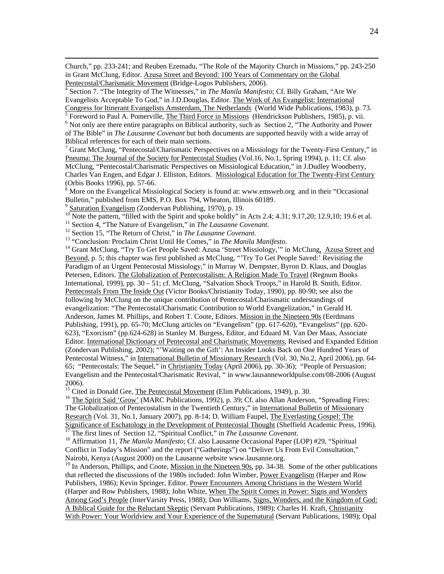Church," pp. 233-241; and Reuben Ezemadu, "The Role of the Majority Church in Missions," pp. 243-250 in Grant McClung, Editor. Azusa Street and Beyond: 100 Years of Commentary on the Global Pentecostal/Charismatic Movement (Bridge-Logos Publishers, 2006).

 Section 7. "The Integrity of The Witnesses," in *The Manila Manifesto*; Cf. Billy Graham, "Are We Evangelists Acceptable To God," in J.D.Douglas, Editor. The Work of An Evangelist: International Congress for Itinerant Evangelists Amsterdam, The Netherlands (World Wide Publications, 1983), p. 73.

 $\frac{1}{5}$  Foreword to Paul A. Pomerville, The Third Force in Missions (Hendrickson Publishers, 1985), p. vii.

 $6$  Not only are there entire paragraphs on Biblical authority, such as Section 2, "The Authority and Power of The Bible" in *The Lausanne Covenant* but both documents are supported heavily with a wide array of Biblical references for each of their main sections.

<sup>7</sup> Grant McClung, "Pentecostal/Charismatic Perspectives on a Missiology for the Twenty-First Century," in Pneuma: The Journal of the Society for Pentecostal Studies (Vol.16, No.1, Spring 1994), p. 11; Cf. also McClung, "Pentecostal/Charismatic Perspectives on Missiological Education," in J.Dudley Woodberry, Charles Van Engen, and Edgar J. Elliston, Editors. Missiological Education for The Twenty-First Century (Orbis Books 1996), pp. 57-66.

 $8$  More on the Evangelical Missiological Society is found at: www.emsweb.org and in their "Occasional" Bulletin," published from EMS, P.O. Box 794, Wheaton, Illinois 60189.<br><sup>9</sup> Saturation Evangelism (Zondervan Publishing, 1970), p. 19.

9

<sup>10</sup> Note the pattern, "filled with the Spirit and spoke boldly" in Acts 2.4; 4.31; 9.17,20; 12.9,10; 19.6 et al.<br><sup>11</sup> Section 4, "The Nature of Evangelism," in *The Lausanne Covenant*.<br><sup>12</sup> Section 15, "The Return of Chr

Beyond, p. 5; this chapter was first published as McClung, "'Try To Get People Saved:' Revisiting the Paradigm of an Urgent Pentecostal Missiology," in Murray W. Dempster, Byron D. Klaus, and Douglas Petersen, Editors. The Globalization of Pentecostalism: A Religion Made To Travel (Regnum Books International, 1999), pp. 30 – 51; cf. McClung, "Salvation Shock Troops," in Harold B. Smith, Editor. Pentecostals From The Inside Out (Victor Books/Christianity Today, 1990), pp. 80-90; see also the following by McClung on the unique contribution of Pentecostal/Charismatic understandings of evangelization: "The Pentecostal/Charismatic Contribution to World Evangelization," in Gerald H. Anderson, James M. Phillips, and Robert T. Coote, Editors. Mission in the Nineteen 90s (Eerdmans Publishing, 1991), pp. 65-70; McClung articles on "Evangelism" (pp. 617-620), "Evangelists" (pp. 620- 623), "Exorcism" (pp.624-628) in Stanley M. Burgess, Editor, and Eduard M. Van Der Maas, Associate Editor. International Dictionary of Pentecostal and Charismatic Movements, Revised and Expanded Edition (Zondervan Publishing, 2002); "'Waiting on the Gift': An Insider Looks Back on One Hundred Years of Pentecostal Witness," in International Bulletin of Missionary Research (Vol. 30, No.2, April 2006), pp. 64-65; "Pentecostals: The Sequel," in Christianity Today (April 2006), pp. 30-36); "People of Persuasion: Evangelism and the Pentecostal/Charismatic Revival, " in www.lausanneworldpulse.com/08-2006 (August 2006).<br><sup>15</sup> Cited in Donald Gee, The Pentecostal Movement (Elim Publications, 1949), p. 30.

<sup>16</sup> The Spirit Said 'Grow' (MARC Publications, 1992), p. 39; Cf. also Allan Anderson, "Spreading Fires: The Globalization of Pentecostalism in the Twentieth Century," in International Bulletin of Missionary Research (Vol. 31, No.1, January 2007), pp. 8-14; D. William Faupel, The Everlasting Gospel: The Significance of Eschatology in the Development of Pentecostal Thought (Sheffield Academic Press, 1996).<br><sup>17</sup> The first lines of Section 12, "Spiritual Conflict," in *The Lausanne Covenant*.<br><sup>18</sup> Affirmation 11, *The Manil* 

Conflict in Today's Mission" and the report ("Gatherings") on "Deliver Us From Evil Consultation," Nairobi, Kenya (August 2000) on the Lausanne website www.lausanne.org.

<sup>19</sup> In Anderson, Phillips, and Coote, Mission in the Nineteen 90s, pp. 34-38. Some of the other publications that reflected the discussions of the 1980s included: John Wimber, Power Evangelism (Harper and Row Publishers, 1986); Kevin Springer, Editor. Power Encounters Among Christians in the Western World (Harper and Row Publishers, 1988); John White, When The Spirit Comes in Power: Signs and Wonders Among God's People (InterVarsity Press, 1988); Don Williams, Signs, Wonders, and the Kingdom of God: A Biblical Guide for the Reluctant Skeptic (Servant Publications, 1989); Charles H. Kraft, Christianity With Power: Your Worldview and Your Experience of the Supernatural (Servant Publications, 1989); Opal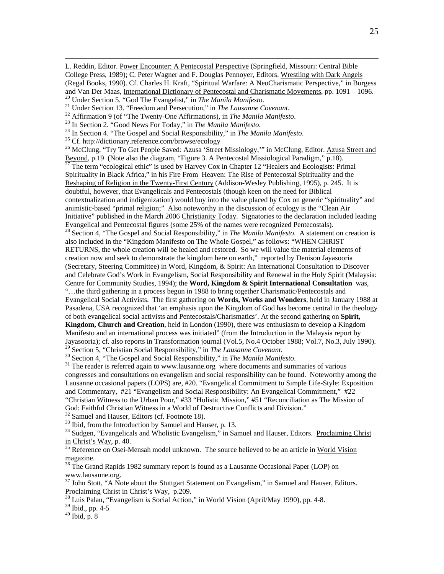L. Reddin, Editor. Power Encounter: A Pentecostal Perspective (Springfield, Missouri: Central Bible College Press, 1989); C. Peter Wagner and F. Douglas Pennoyer, Editors. Wrestling with Dark Angels (Regal Books, 1990). Cf. Charles H. Kraft, "Spiritual Warfare: A NeoCharismatic Perspective," in Burgess and Van Der Maas, <u>International Dictionary of Pentecostal and Charismatic Movements</u>, pp. 1091 – 1096.<br><sup>20</sup> Under Section 5. "God The Evangelist," in *The Manila Manifesto*.<br><sup>21</sup> Under Section 13. "Freedom and Persecutio

- 
- 
- 
- 

<sup>26</sup> McClung, "Try To Get People Saved: Azusa 'Street Missiology," in McClung, Editor. Azusa Street and Beyond, p.19 (Note also the diagram, "Figure 3. A Pentecostal Missiological Paradigm," p.18).  $\frac{27}{27}$  The term "ecological ethic" is used by Harvey Cox in Chapter 12 "Healers and Ecologists: Primal Spirituality in Black Africa," in his Fire From Heaven: The Rise of Pentecostal Spirituality and the Reshaping of Religion in the Twenty-First Century (Addison-Wesley Publishing, 1995), p. 245. It is doubtful, however, that Evangelicals and Pentecostals (though keen on the need for Biblical contextualization and indigenization) would buy into the value placed by Cox on generic "spirituality" and animistic-based "primal religion;" Also noteworthy in the discussion of ecology is the "Clean Air Initiative" published in the March 2006 Christianity Today. Signatories to the declaration included leading Evangelical and Pentecostal figures (some 25% of the names were recognized Pentecostals). <sup>28</sup> Section 4, "The Gospel and Social Responsibility," in *The Manila Manifesto*. A statement on creation is also included in the "Kingdom Manifesto on The Whole Gospel," as follows: "WHEN CHRIST RETURNS, the whole creation will be healed and restored. So we will value the material elements of creation now and seek to demonstrate the kingdom here on earth," reported by Denison Jayasooria (Secretary, Steering Committee) in Word, Kingdom, & Spirit: An International Consultation to Discover and Celebrate God's Work in Evangelism, Social Responsibility and Renewal in the Holy Spirit (Malaysia: Centre for Community Studies, 1994); the **Word, Kingdom & Spirit International Consultation** was, "…the third gathering in a process begun in 1988 to bring together Charismatic/Pentecostals and Evangelical Social Activists. The first gathering on **Words, Works and Wonders**, held in January 1988 at Pasadena, USA recognized that 'an emphasis upon the Kingdom of God has become central in the theology of both evangelical social activists and Pentecostals/Charismatics'. At the second gathering on **Spirit, Kingdom, Church and Creation**, held in London (1990), there was enthusiasm to develop a Kingdom Manifesto and an international process was initiated" (from the Introduction in the Malaysia report by Jayasooria); cf. also reports in Transformation journal (Vol.5, No.4 October 1988; Vol.7, No.3, July 1990).<br><sup>29</sup> Section 5, "Christian Social Responsibility," in *The Lausanne Covenant*.

<sup>30</sup> Section 4, "The Gospel and Social Responsibility," in *The Manila Manifesto*.<br><sup>31</sup> The reader is referred again to www.lausanne.org where documents and summaries of various congresses and consultations on evangelism and social responsibility can be found. Noteworthy among the Lausanne occasional papers (LOPS) are, #20. "Evangelical Commitment to Simple Life-Style: Exposition and Commentary, #21 "Evangelism and Social Responsibility: An Evangelical Commitment," #22 "Christian Witness to the Urban Poor," #33 "Holistic Mission," #51 "Reconciliation as The Mission of God: Faithful Christian Witness in a World of Destructive Conflicts and Division."

<sup>32</sup> Samuel and Hauser, Editors (cf. Footnote 18).

<sup>33</sup> Ibid, from the Introduction by Samuel and Hauser, p. 13.

<sup>34</sup> Sudgen, "Evangelicals and Wholistic Evangelism," in Samuel and Hauser, Editors. <u>Proclaiming Christ</u><br>
<u>in Christ's Way</u>, p. 40.

Reference on Osei-Mensah model unknown. The source believed to be an article in World Vision magazine.

<sup>36</sup> The Grand Rapids 1982 summary report is found as a Lausanne Occasional Paper (LOP) on www.lausanne.org.

 $37$  John Stott, "A Note about the Stuttgart Statement on Evangelism," in Samuel and Hauser, Editors. Proclaiming Christ in Christ's Way, p.209.<br><sup>38</sup> Luis Palau, "Evangelism *is* Social Action," in World Vision (April/May 1990), pp. 4-8.

39 Ibid., pp. 4-5

 $40$  Ibid, p.  $8$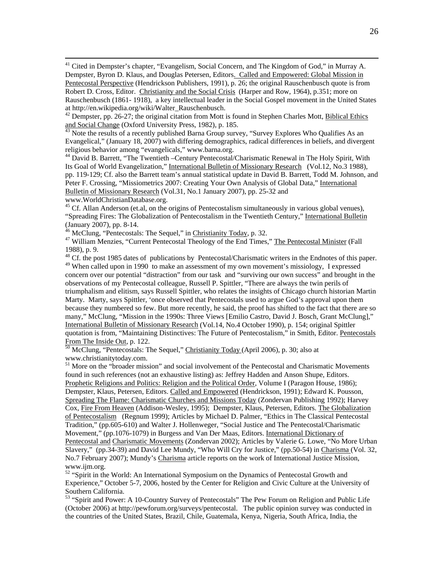<sup>41</sup> Cited in Dempster's chapter, "Evangelism, Social Concern, and The Kingdom of God," in Murray A. Dempster, Byron D. Klaus, and Douglas Petersen, Editors. Called and Empowered: Global Mission in Pentecostal Perspective (Hendrickson Publishers, 1991), p. 26; the original Rauschenbusch quote is from Robert D. Cross, Editor. Christianity and the Social Crisis (Harper and Row, 1964), p.351; more on Rauschenbusch (1861- 1918), a key intellectual leader in the Social Gospel movement in the United States at http://en.wikipedia.org/wiki/Walter\_Rauschenbusch.

 $\frac{43}{43}$  Note the results of a recently published Barna Group survey, "Survey Explores Who Qualifies As an Evangelical," (January 18, 2007) with differing demographics, radical differences in beliefs, and divergent religious behavior among "evangelicals," www.barna.org.

44 David B. Barrett, "The Twentieth –Century Pentecostal/Charismatic Renewal in The Holy Spirit, With Its Goal of World Evangelization," International Bulletin of Missionary Research (Vol.12, No.3 1988), pp. 119-129; Cf. also the Barrett team's annual statistical update in David B. Barrett, Todd M. Johnson, and Peter F. Crossing, "Missiometrics 2007: Creating Your Own Analysis of Global Data," International Bulletin of Missionary Research (Vol.31, No.1 January 2007), pp. 25-32 and www.WorldChristianDatabase.org.

<sup>45</sup> Cf. Allan Anderson (et.al, on the origins of Pentecostalism simultaneously in various global venues), "Spreading Fires: The Globalization of Pentecostalism in the Twentieth Century," International Bulletin (January 2007), pp. 8-14.<br><sup>46</sup> McClung, "Pentecostals: The Sequel," in *Christianity Today*, p. 32.

<sup>47</sup> William Menzies, "Current Pentecostal Theology of the End Times," The Pentecostal Minister (Fall 1988), p. 9.

<sup>48</sup> Cf. the post 1985 dates of publications by Pentecostal/Charismatic writers in the Endnotes of this paper. <sup>49</sup> When called upon in 1990 to make an assessment of my own movement's missiology, I expressed concern over our potential "distraction" from our task and "surviving our own success" and brought in the observations of my Pentecostal colleague, Russell P. Spittler, "There are always the twin perils of triumphalism and elitism, says Russell Spittler, who relates the insights of Chicago church historian Martin Marty. Marty, says Spittler, 'once observed that Pentecostals used to argue God's approval upon them because they numbered so few. But more recently, he said, the proof has shifted to the fact that there are so many," McClung, "Mission in the 1990s: Three Views [Emilio Castro, David J. Bosch, Grant McClung]," International Bulletin of Missionary Research (Vol.14, No.4 October 1990), p. 154; original Spittler quotation is from, "Maintaining Distinctives: The Future of Pentecostalism," in Smith, Editor. Pentecostals From The Inside Out, p. 122.<br><sup>50</sup> McClung, "Pentecostals: The Sequel," Christianity Today (April 2006), p. 30; also at

www.christianitytoday.com.

<sup>51</sup> More on the "broader mission" and social involvement of the Pentecostal and Charismatic Movements found in such references (not an exhaustive listing) as: Jeffrey Hadden and Anson Shupe, Editors. Prophetic Religions and Politics: Religion and the Political Order, Volume I (Paragon House, 1986); Dempster, Klaus, Petersen, Editors. Called and Empowered (Hendrickson, 1991); Edward K. Pousson, Spreading The Flame: Charismatic Churches and Missions Today (Zondervan Publishing 1992); Harvey Cox, Fire From Heaven (Addison-Wesley, 1995); Dempster, Klaus, Petersen, Editors. The Globalization of Pentecostalism (Regnum 1999); Articles by Michael D. Palmer, "Ethics in The Classical Pentecostal Tradition," (pp.605-610) and Walter J. Hollenweger, "Social Justice and The Pentecostal/Charismatic Movement," (pp.1076-1079) in Burgess and Van Der Maas, Editors. International Dictionary of Pentecostal and Charismatic Movements (Zondervan 2002); Articles by Valerie G. Lowe, "No More Urban Slavery," (pp.34-39) and David Lee Mundy, "Who Will Cry for Justice," (pp.50-54) in Charisma (Vol. 32, No.7 February 2007); Mundy's Charisma article reports on the work of International Justice Mission, www.ijm.org.

<sup>52</sup> "Spirit in the World: An International Symposium on the Dynamics of Pentecostal Growth and Experience," October 5-7, 2006, hosted by the Center for Religion and Civic Culture at the University of Southern California.

<sup>53</sup> "Spirit and Power: A 10-Country Survey of Pentecostals" The Pew Forum on Religion and Public Life (October 2006) at http://pewforum.org/surveys/pentecostal. The public opinion survey was conducted in the countries of the United States, Brazil, Chile, Guatemala, Kenya, Nigeria, South Africa, India, the

 $42$  Dempster, pp. 26-27; the original citation from Mott is found in Stephen Charles Mott, *Biblical Ethics* and *Social Change* (Oxford University Press, 1982), p. 185.